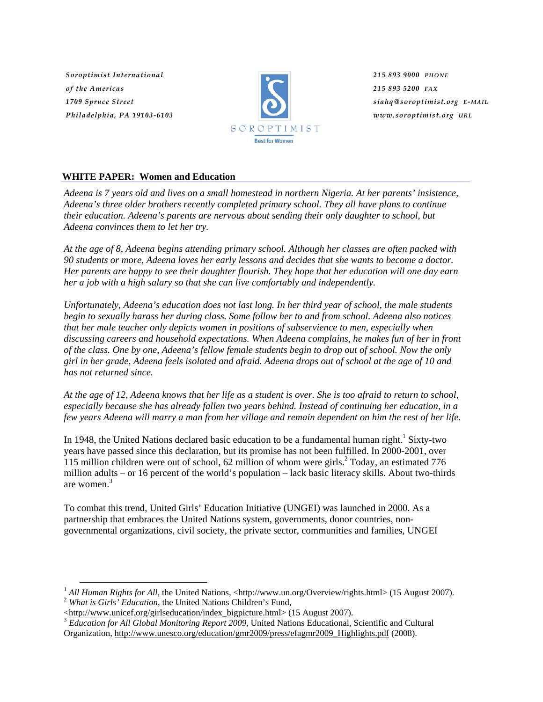*Soroptimist International of the Americas 1709 Spruce Street Philadelphia, PA 19103-6103*



*215 893 9000 PHONE 215 893 5200 FAX siahq@soroptimist.org E-MAIL www.soroptimist.org URL*

# **WHITE PAPER: Women and Education**

*Adeena is 7 years old and lives on a small homestead in northern Nigeria. At her parents' insistence, Adeena's three older brothers recently completed primary school. They all have plans to continue their education. Adeena's parents are nervous about sending their only daughter to school, but Adeena convinces them to let her try.* 

*At the age of 8, Adeena begins attending primary school. Although her classes are often packed with 90 students or more, Adeena loves her early lessons and decides that she wants to become a doctor. Her parents are happy to see their daughter flourish. They hope that her education will one day earn her a job with a high salary so that she can live comfortably and independently.* 

*Unfortunately, Adeena's education does not last long. In her third year of school, the male students begin to sexually harass her during class. Some follow her to and from school. Adeena also notices that her male teacher only depicts women in positions of subservience to men, especially when discussing careers and household expectations. When Adeena complains, he makes fun of her in front of the class. One by one, Adeena's fellow female students begin to drop out of school. Now the only girl in her grade, Adeena feels isolated and afraid. Adeena drops out of school at the age of 10 and has not returned since.* 

*At the age of 12, Adeena knows that her life as a student is over. She is too afraid to return to school, especially because she has already fallen two years behind. Instead of continuing her education, in a few years Adeena will marry a man from her village and remain dependent on him the rest of her life.* 

In 1948, the United Nations declared basic education to be a fundamental human right.<sup>1</sup> Sixty-two years have passed since this declaration, but its promise has not been fulfilled. In 2000-2001, over 115 million children were out of school, 62 million of whom were girls. $^{2}$  Today, an estimated 776 million adults – or 16 percent of the world's population – lack basic literacy skills. About two-thirds are women.3

To combat this trend, United Girls' Education Initiative (UNGEI) was launched in 2000. As a partnership that embraces the United Nations system, governments, donor countries, nongovernmental organizations, civil society, the private sector, communities and families, UNGEI

<sup>&</sup>lt;sup>1</sup> *All Human Rights for All*, the United Nations, <http://www.un.org/Overview/rights.html> (15 August 2007).<br><sup>2</sup> *What is Girls' Education*, the United Nations Children's Fund, <br><http://www.unicef.org/girlseducation/inde

<sup>&</sup>lt;sup>3</sup> *Education for All Global Monitoring Report 2009*, United Nations Educational, Scientific and Cultural Organization, http://www.unesco.org/education/gmr2009/press/efagmr2009\_Highlights.pdf (2008).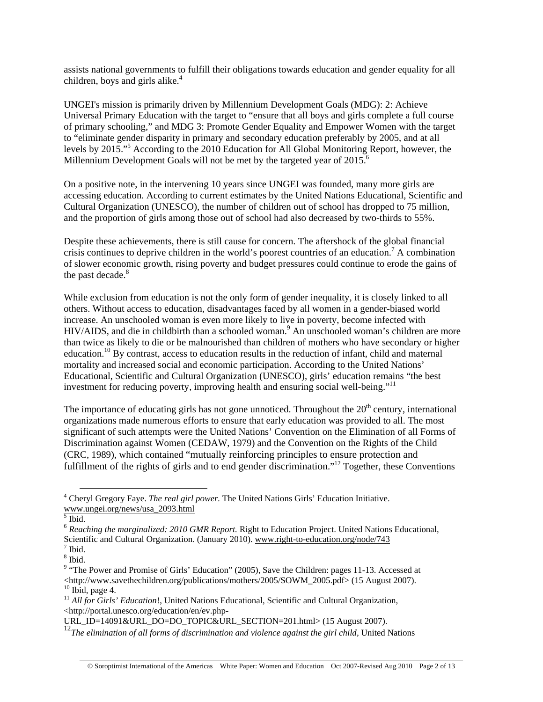assists national governments to fulfill their obligations towards education and gender equality for all children, boys and girls alike. $4$ 

UNGEI's mission is primarily driven by Millennium Development Goals (MDG): 2: Achieve Universal Primary Education with the target to "ensure that all boys and girls complete a full course of primary schooling," and MDG 3: Promote Gender Equality and Empower Women with the target to "eliminate gender disparity in primary and secondary education preferably by 2005, and at all levels by 2015."5 According to the 2010 Education for All Global Monitoring Report, however, the Millennium Development Goals will not be met by the targeted year of 2015.<sup>6</sup>

On a positive note, in the intervening 10 years since UNGEI was founded, many more girls are accessing education. According to current estimates by the United Nations Educational, Scientific and Cultural Organization (UNESCO), the number of children out of school has dropped to 75 million, and the proportion of girls among those out of school had also decreased by two-thirds to 55%.

Despite these achievements, there is still cause for concern. The aftershock of the global financial crisis continues to deprive children in the world's poorest countries of an education.<sup>7</sup> A combination of slower economic growth, rising poverty and budget pressures could continue to erode the gains of the past decade. $8$ 

While exclusion from education is not the only form of gender inequality, it is closely linked to all others. Without access to education, disadvantages faced by all women in a gender-biased world increase. An unschooled woman is even more likely to live in poverty, become infected with HIV/AIDS, and die in childbirth than a schooled woman.<sup>9</sup> An unschooled woman's children are more than twice as likely to die or be malnourished than children of mothers who have secondary or higher education.<sup>10</sup> By contrast, access to education results in the reduction of infant, child and maternal mortality and increased social and economic participation. According to the United Nations' Educational, Scientific and Cultural Organization (UNESCO), girls' education remains "the best investment for reducing poverty, improving health and ensuring social well-being."<sup>11</sup>

The importance of educating girls has not gone unnoticed. Throughout the  $20<sup>th</sup>$  century, international organizations made numerous efforts to ensure that early education was provided to all. The most significant of such attempts were the United Nations' Convention on the Elimination of all Forms of Discrimination against Women (CEDAW, 1979) and the Convention on the Rights of the Child (CRC, 1989), which contained "mutually reinforcing principles to ensure protection and fulfillment of the rights of girls and to end gender discrimination."<sup>12</sup> Together, these Conventions

<sup>11</sup> *All for Girls' Education*!, United Nations Educational, Scientific and Cultural Organization, <http://portal.unesco.org/education/en/ev.php-

 <sup>4</sup> Cheryl Gregory Faye. *The real girl power.* The United Nations Girls' Education Initiative. www.ungei.org/news/usa\_2093.html <sup>5</sup> Ibid.

<sup>6</sup> *Reaching the marginalized: 2010 GMR Report.* Right to Education Project. United Nations Educational, Scientific and Cultural Organization. (January 2010). www.right-to-education.org/node/743  $<sup>7</sup>$  Ibid.</sup>

<sup>8</sup> Ibid.

<sup>&</sup>lt;sup>9</sup> "The Power and Promise of Girls' Education" (2005), Save the Children: pages 11-13. Accessed at  $<$ http://www.savethechildren.org/publications/mothers/2005/SOWM\_2005.pdf> (15 August 2007). $^{10}$  Ibid. page 4.

URL\_ID=14091&URL\_DO=DO\_TOPIC&URL\_SECTION=201.html> (15 August 2007).

<sup>&</sup>lt;sup>12</sup>The elimination of all forms of discrimination and violence against the girl child, United Nations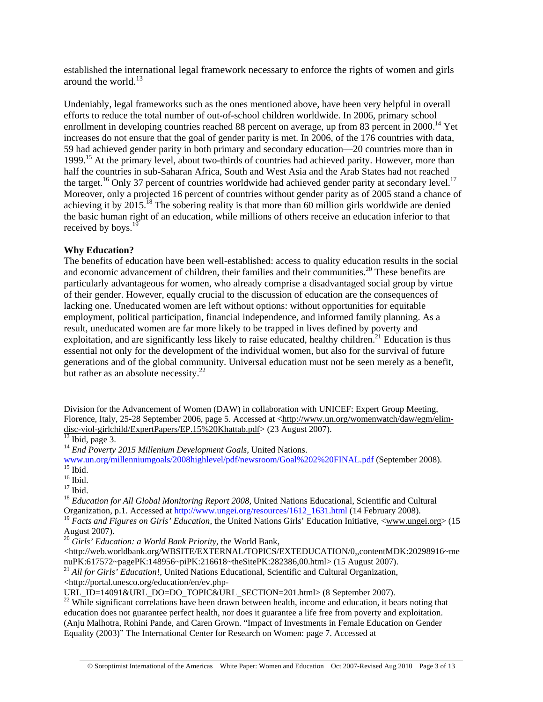established the international legal framework necessary to enforce the rights of women and girls around the world.<sup>13</sup>

Undeniably, legal frameworks such as the ones mentioned above, have been very helpful in overall efforts to reduce the total number of out-of-school children worldwide. In 2006, primary school enrollment in developing countries reached 88 percent on average, up from 83 percent in 2000.<sup>14</sup> Yet increases do not ensure that the goal of gender parity is met. In 2006, of the 176 countries with data, 59 had achieved gender parity in both primary and secondary education—20 countries more than in 1999.15 At the primary level, about two-thirds of countries had achieved parity. However, more than half the countries in sub-Saharan Africa, South and West Asia and the Arab States had not reached the target.<sup>16</sup> Only 37 percent of countries worldwide had achieved gender parity at secondary level.<sup>17</sup> Moreover, only a projected 16 percent of countries without gender parity as of 2005 stand a chance of achieving it by  $2015$ .<sup>18</sup> The sobering reality is that more than 60 million girls worldwide are denied the basic human right of an education, while millions of others receive an education inferior to that received by boys.<sup>19</sup>

## **Why Education?**

The benefits of education have been well-established: access to quality education results in the social and economic advancement of children, their families and their communities.<sup>20</sup> These benefits are particularly advantageous for women, who already comprise a disadvantaged social group by virtue of their gender. However, equally crucial to the discussion of education are the consequences of lacking one. Uneducated women are left without options: without opportunities for equitable employment, political participation, financial independence, and informed family planning. As a result, uneducated women are far more likely to be trapped in lives defined by poverty and exploitation, and are significantly less likely to raise educated, healthy children.<sup>21</sup> Education is thus essential not only for the development of the individual women, but also for the survival of future generations and of the global community. Universal education must not be seen merely as a benefit, but rather as an absolute necessity. $^{22}$ 

 $17$  Ibid.

<sup>18</sup> *Education for All Global Monitoring Report 2008*, United Nations Educational, Scientific and Cultural

Organization, p.1. Accessed at http://www.ungei.org/resources/1612\_1631.html (14 February 2008).

<sup>19</sup> Facts and Figures on Girls' Education, the United Nations Girls' Education Initiative, <www.ungei.org> (15 August 2007).

<sup>20</sup> *Girls' Education: a World Bank Priority*, the World Bank,

<http://web.worldbank.org/WBSITE/EXTERNAL/TOPICS/EXTEDUCATION/0,,contentMDK:20298916~me nuPK:617572~pagePK:148956~piPK:216618~theSitePK:282386,00.html> (15 August 2007).

<sup>21</sup> *All for Girls' Education*!, United Nations Educational, Scientific and Cultural Organization,

<http://portal.unesco.org/education/en/ev.php-

URL\_ID=14091&URL\_DO=DO\_TOPIC&URL\_SECTION=201.html> (8 September 2007).

<sup>22</sup> While significant correlations have been drawn between health, income and education, it bears noting that education does not guarantee perfect health, nor does it guarantee a life free from poverty and exploitation. (Anju Malhotra, Rohini Pande, and Caren Grown. "Impact of Investments in Female Education on Gender Equality (2003)" The International Center for Research on Women: page 7. Accessed at

Division for the Advancement of Women (DAW) in collaboration with UNICEF: Expert Group Meeting, Florence, Italy, 25-28 September 2006, page 5. Accessed at <http://www.un.org/womenwatch/daw/egm/elimdisc-viol-girlchild/ExpertPapers/EP.15%20Khattab.pdf> (23 August 2007).<br><sup>13</sup> Ibid, page 3.

<sup>14</sup> *End Poverty 2015 Millenium Development Goals,* United Nations.

www.un.org/millenniumgoals/2008highlevel/pdf/newsroom/Goal%202%20FINAL.pdf (September 2008). 15 Ibid.

 $16$  Ibid.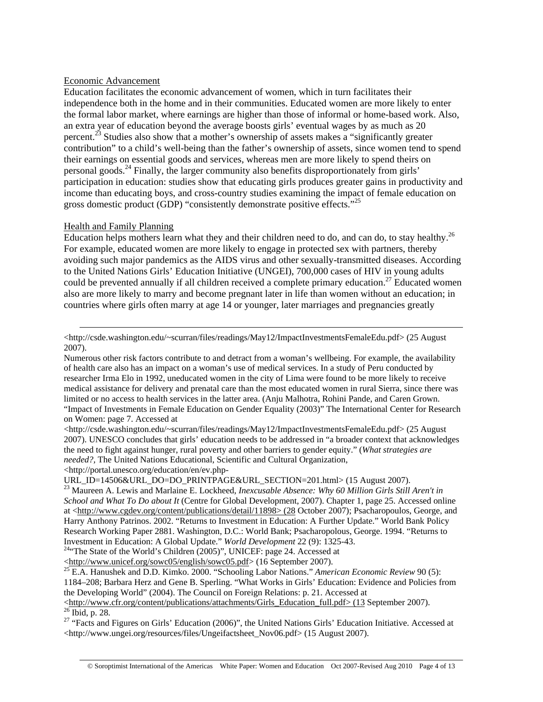### Economic Advancement

Education facilitates the economic advancement of women, which in turn facilitates their independence both in the home and in their communities. Educated women are more likely to enter the formal labor market, where earnings are higher than those of informal or home-based work. Also, an extra year of education beyond the average boosts girls' eventual wages by as much as 20 percent.23 Studies also show that a mother's ownership of assets makes a "significantly greater contribution" to a child's well-being than the father's ownership of assets, since women tend to spend their earnings on essential goods and services, whereas men are more likely to spend theirs on personal goods.<sup>24</sup> Finally, the larger community also benefits disproportionately from girls' participation in education: studies show that educating girls produces greater gains in productivity and income than educating boys, and cross-country studies examining the impact of female education on gross domestic product (GDP) "consistently demonstrate positive effects."<sup>25</sup>

### Health and Family Planning

Education helps mothers learn what they and their children need to do, and can do, to stay healthy.<sup>26</sup> For example, educated women are more likely to engage in protected sex with partners, thereby avoiding such major pandemics as the AIDS virus and other sexually-transmitted diseases. According to the United Nations Girls' Education Initiative (UNGEI), 700,000 cases of HIV in young adults could be prevented annually if all children received a complete primary education.<sup>27</sup> Educated women also are more likely to marry and become pregnant later in life than women without an education; in countries where girls often marry at age 14 or younger, later marriages and pregnancies greatly

Numerous other risk factors contribute to and detract from a woman's wellbeing. For example, the availability of health care also has an impact on a woman's use of medical services. In a study of Peru conducted by researcher Irma Elo in 1992, uneducated women in the city of Lima were found to be more likely to receive medical assistance for delivery and prenatal care than the most educated women in rural Sierra, since there was limited or no access to health services in the latter area. (Anju Malhotra, Rohini Pande, and Caren Grown. "Impact of Investments in Female Education on Gender Equality (2003)" The International Center for Research on Women: page 7. Accessed at

<http://csde.washington.edu/~scurran/files/readings/May12/ImpactInvestmentsFemaleEdu.pdf> (25 August 2007). UNESCO concludes that girls' education needs to be addressed in "a broader context that acknowledges the need to fight against hunger, rural poverty and other barriers to gender equity." (*What strategies are needed?,* The United Nations Educational, Scientific and Cultural Organization,

<http://portal.unesco.org/education/en/ev.php-

```
URL_ID=14506&URL_DO=DO_PRINTPAGE&URL_SECTION=201.html> (15 August 2007).
```
<sup>23</sup> Maureen A. Lewis and Marlaine E. Lockheed, *Inexcusable Absence: Why 60 Million Girls Still Aren't in School and What To Do about It* (Centre for Global Development, 2007). Chapter 1, page 25. Accessed online at <http://www.cgdev.org/content/publications/detail/11898> (28 October 2007); Psacharopoulos, George, and Harry Anthony Patrinos. 2002. "Returns to Investment in Education: A Further Update." World Bank Policy Research Working Paper 2881. Washington, D.C.: World Bank; Psacharopolous, George. 1994. "Returns to Investment in Education: A Global Update." *World Development* 22 (9): 1325-43. 24"The State of the World's Children (2005)", UNICEF: page 24. Accessed at

 <sup>&</sup>lt;http://csde.washington.edu/~scurran/files/readings/May12/ImpactInvestmentsFemaleEdu.pdf> (25 August 2007).

<sup>&</sup>lt;http://www.unicef.org/sowc05/english/sowc05.pdf> (16 September 2007). 25 E.A. Hanushek and D.D. Kimko. 2000. "Schooling Labor Nations." *American Economic Review* 90 (5): 1184–208; Barbara Herz and Gene B. Sperling. "What Works in Girls' Education: Evidence and Policies from the Developing World" (2004). The Council on Foreign Relations: p. 21. Accessed at

 $\frac{\text{th}}{26}$  Thid, p. 28.<br><sup>26</sup> Ibid, p. 28.

<sup>&</sup>lt;sup>27</sup> "Facts and Figures on Girls' Education (2006)", the United Nations Girls' Education Initiative. Accessed at <http://www.ungei.org/resources/files/Ungeifactsheet\_Nov06.pdf> (15 August 2007).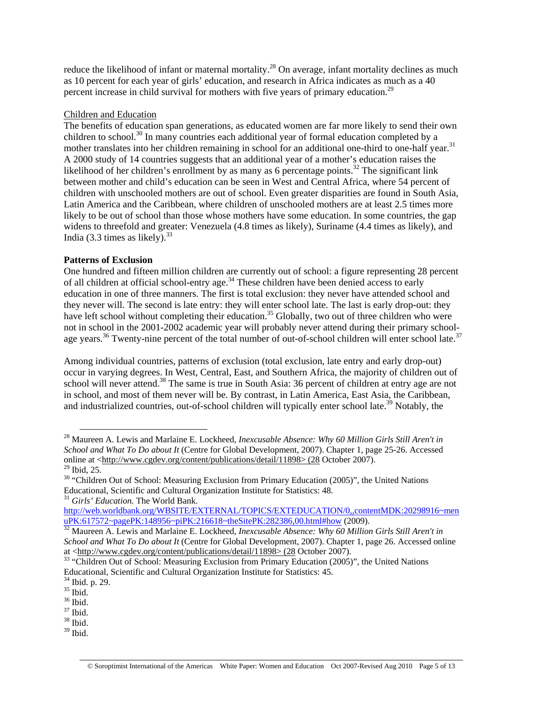reduce the likelihood of infant or maternal mortality.<sup>28</sup> On average, infant mortality declines as much as 10 percent for each year of girls' education, and research in Africa indicates as much as a 40 percent increase in child survival for mothers with five years of primary education.<sup>29</sup>

### Children and Education

The benefits of education span generations, as educated women are far more likely to send their own children to school.<sup>30</sup> In many countries each additional year of formal education completed by a mother translates into her children remaining in school for an additional one-third to one-half year.<sup>31</sup> A 2000 study of 14 countries suggests that an additional year of a mother's education raises the likelihood of her children's enrollment by as many as 6 percentage points.<sup>32</sup> The significant link between mother and child's education can be seen in West and Central Africa, where 54 percent of children with unschooled mothers are out of school. Even greater disparities are found in South Asia, Latin America and the Caribbean, where children of unschooled mothers are at least 2.5 times more likely to be out of school than those whose mothers have some education. In some countries, the gap widens to threefold and greater: Venezuela (4.8 times as likely), Suriname (4.4 times as likely), and India  $(3.3 \text{ times as likely})^{33}$ 

### **Patterns of Exclusion**

One hundred and fifteen million children are currently out of school: a figure representing 28 percent of all children at official school-entry age.<sup>34</sup> These children have been denied access to early education in one of three manners. The first is total exclusion: they never have attended school and they never will. The second is late entry: they will enter school late. The last is early drop-out: they have left school without completing their education.<sup>35</sup> Globally, two out of three children who were not in school in the 2001-2002 academic year will probably never attend during their primary schoolage years.<sup>36</sup> Twenty-nine percent of the total number of out-of-school children will enter school late.<sup>37</sup>

Among individual countries, patterns of exclusion (total exclusion, late entry and early drop-out) occur in varying degrees. In West, Central, East, and Southern Africa, the majority of children out of school will never attend.<sup>38</sup> The same is true in South Asia: 36 percent of children at entry age are not in school, and most of them never will be. By contrast, in Latin America, East Asia, the Caribbean, and industrialized countries, out-of-school children will typically enter school late.<sup>39</sup> Notably, the

 <sup>28</sup> Maureen A. Lewis and Marlaine E. Lockheed, *Inexcusable Absence: Why 60 Million Girls Still Aren't in School and What To Do about It* (Centre for Global Development, 2007). Chapter 1, page 25-26. Accessed online at <http://www.cgdev.org/content/publications/detail/11898> (28 October 2007).  $29$  Ibid, 25.

<sup>&</sup>lt;sup>30</sup> "Children Out of School: Measuring Exclusion from Primary Education (2005)", the United Nations Educational, Scientific and Cultural Organization Institute for Statistics: 48.

<sup>&</sup>lt;sup>31</sup> *Girls' Education*. The World Bank.

http://web.worldbank.org/WBSITE/EXTERNAL/TOPICS/EXTEDUCATION/0,,contentMDK:20298916~men<br>uPK:617572~pagePK:148956~piPK:216618~theSitePK:282386,00.html#how (2009).

<sup>&</sup>lt;sup>32</sup> Maureen A. Lewis and Marlaine E. Lockheed, *Inexcusable Absence: Why 60 Million Girls Still Aren't in School and What To Do about It* (Centre for Global Development, 2007). Chapter 1, page 26. Accessed online at <http://www.cgdev.org/content/publications/detail/11898> (28 October 2007).

<sup>&</sup>lt;sup>33</sup> "Children Out of School: Measuring Exclusion from Primary Education (2005)", the United Nations Educational, Scientific and Cultural Organization Institute for Statistics: 45.

<sup>34</sup> Ibid. p. 29.

 $^{35}$  Ibid.  $\,$ 

 $^{\rm 36}$  Ibid.

<sup>37</sup> Ibid.

<sup>38</sup> Ibid.

 $39$  Ibid.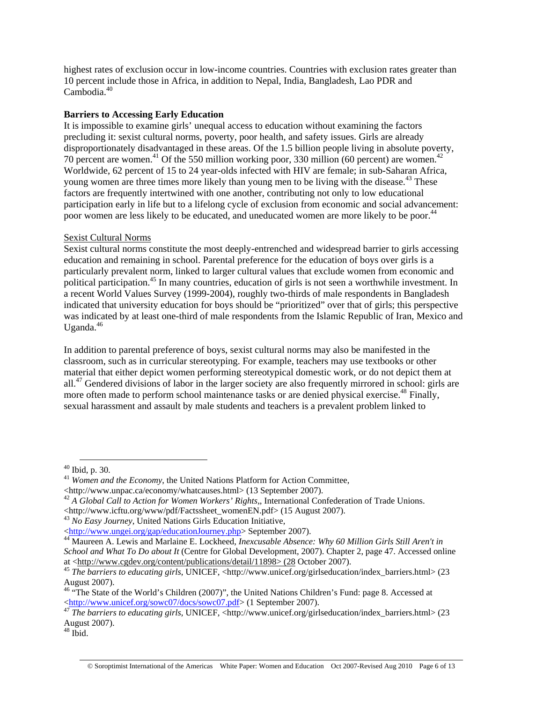highest rates of exclusion occur in low-income countries. Countries with exclusion rates greater than 10 percent include those in Africa, in addition to Nepal, India, Bangladesh, Lao PDR and Cambodia $40$ 

## **Barriers to Accessing Early Education**

It is impossible to examine girls' unequal access to education without examining the factors precluding it: sexist cultural norms, poverty, poor health, and safety issues. Girls are already disproportionately disadvantaged in these areas. Of the 1.5 billion people living in absolute poverty, 70 percent are women.<sup>41</sup> Of the 550 million working poor, 330 million (60 percent) are women.<sup>42</sup> Worldwide, 62 percent of 15 to 24 year-olds infected with HIV are female; in sub-Saharan Africa, young women are three times more likely than young men to be living with the disease.<sup>43</sup> These factors are frequently intertwined with one another, contributing not only to low educational participation early in life but to a lifelong cycle of exclusion from economic and social advancement: poor women are less likely to be educated, and uneducated women are more likely to be poor.<sup>44</sup>

## Sexist Cultural Norms

Sexist cultural norms constitute the most deeply-entrenched and widespread barrier to girls accessing education and remaining in school. Parental preference for the education of boys over girls is a particularly prevalent norm, linked to larger cultural values that exclude women from economic and political participation.<sup>45</sup> In many countries, education of girls is not seen a worthwhile investment. In a recent World Values Survey (1999-2004), roughly two-thirds of male respondents in Bangladesh indicated that university education for boys should be "prioritized" over that of girls; this perspective was indicated by at least one-third of male respondents from the Islamic Republic of Iran, Mexico and Uganda. $46$ 

In addition to parental preference of boys, sexist cultural norms may also be manifested in the classroom, such as in curricular stereotyping. For example, teachers may use textbooks or other material that either depict women performing stereotypical domestic work, or do not depict them at all.<sup>47</sup> Gendered divisions of labor in the larger society are also frequently mirrored in school: girls are more often made to perform school maintenance tasks or are denied physical exercise.<sup>48</sup> Finally, sexual harassment and assault by male students and teachers is a prevalent problem linked to

 $40$  Ibid, p. 30.

<sup>41</sup> *Women and the Economy*, the United Nations Platform for Action Committee, <http://www.unpac.ca/economy/whatcauses.html> (13 September 2007).

<sup>&</sup>lt;sup>42</sup> A Global Call to Action for Women Workers' Rights,, International Confederation of Trade Unions.

<sup>&</sup>lt;http://www.icftu.org/www/pdf/Factssheet\_womenEN.pdf> (15 August 2007). 43 *No Easy Journey*, United Nations Girls Education Initiative,

<sup>&</sup>lt;http://www.ungei.org/gap/educationJourney.php> September 2007). 44 Maureen A. Lewis and Marlaine E. Lockheed, *Inexcusable Absence: Why 60 Million Girls Still Aren't in School and What To Do about It* (Centre for Global Development, 2007). Chapter 2, page 47. Accessed online at <http://www.cgdev.org/content/publications/detail/11898> (28 October 2007). 45 *The barriers to educating girls*, UNICEF, <http://www.unicef.org/girlseducation/index\_barriers.html> (23

August 2007).

<sup>&</sup>lt;sup>46</sup> "The State of the World's Children (2007)", the United Nations Children's Fund: page 8. Accessed at <http://www.unicef.org/sowc07/docs/sowc07.pdf> (1 September 2007). 47 *The barriers to educating girls*, UNICEF, <http://www.unicef.org/girlseducation/index\_barriers.html> (23

August 2007).

 $48$  Ibid.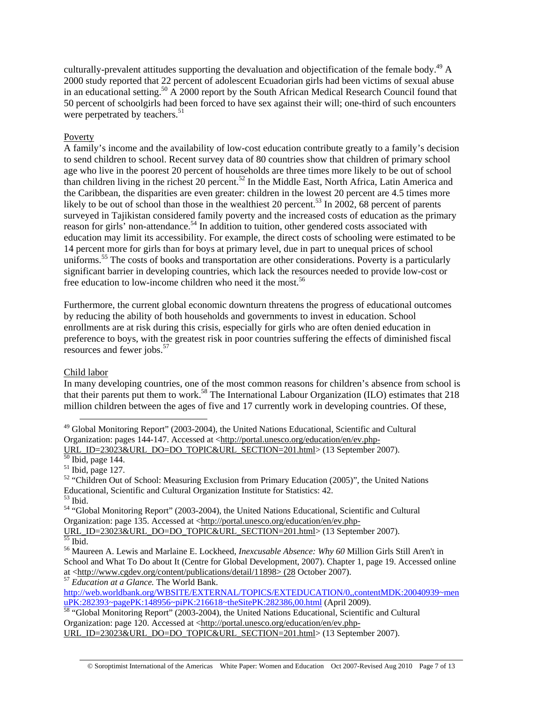culturally-prevalent attitudes supporting the devaluation and objectification of the female body.<sup>49</sup> A 2000 study reported that 22 percent of adolescent Ecuadorian girls had been victims of sexual abuse in an educational setting.<sup>50</sup>  $\overline{A}$  2000 report by the South African Medical Research Council found that 50 percent of schoolgirls had been forced to have sex against their will; one-third of such encounters were perpetrated by teachers.<sup>51</sup>

### Poverty

A family's income and the availability of low-cost education contribute greatly to a family's decision to send children to school. Recent survey data of 80 countries show that children of primary school age who live in the poorest 20 percent of households are three times more likely to be out of school than children living in the richest 20 percent.<sup>52</sup> In the Middle East, North Africa, Latin America and the Caribbean, the disparities are even greater: children in the lowest 20 percent are 4.5 times more likely to be out of school than those in the wealthiest 20 percent.<sup>53</sup> In 2002, 68 percent of parents surveyed in Tajikistan considered family poverty and the increased costs of education as the primary reason for girls' non-attendance.<sup>54</sup> In addition to tuition, other gendered costs associated with education may limit its accessibility. For example, the direct costs of schooling were estimated to be 14 percent more for girls than for boys at primary level, due in part to unequal prices of school uniforms.<sup>55</sup> The costs of books and transportation are other considerations. Poverty is a particularly significant barrier in developing countries, which lack the resources needed to provide low-cost or free education to low-income children who need it the most.<sup>56</sup>

Furthermore, the current global economic downturn threatens the progress of educational outcomes by reducing the ability of both households and governments to invest in education. School enrollments are at risk during this crisis, especially for girls who are often denied education in preference to boys, with the greatest risk in poor countries suffering the effects of diminished fiscal resources and fewer jobs.<sup>57</sup>

#### Child labor

In many developing countries, one of the most common reasons for children's absence from school is that their parents put them to work.<sup>58</sup> The International Labour Organization (ILO) estimates that 218 million children between the ages of five and 17 currently work in developing countries. Of these,

URL\_ID=23023&URL\_DO=DO\_TOPIC&URL\_SECTION=201.html> (13 September 2007).

 $51$  Ibid, page 127.

URL\_ID=23023&URL\_DO=DO\_TOPIC&URL\_SECTION=201.html> (13 September 2007).

http://web.worldbank.org/WBSITE/EXTERNAL/TOPICS/EXTEDUCATION/0,,contentMDK:20040939~men<br>uPK:282393~pagePK:148956~piPK:216618~theSitePK:282386,00.html (April 2009).

<sup>58</sup> "Global Monitoring Report" (2003-2004), the United Nations Educational, Scientific and Cultural Organization: page 120. Accessed at <http://portal.unesco.org/education/en/ev.php-

<sup>&</sup>lt;sup>49</sup> Global Monitoring Report" (2003-2004), the United Nations Educational, Scientific and Cultural Organization: pages 144-147. Accessed at <http://portal.unesco.org/education/en/ev.php-

<sup>&</sup>lt;sup>52</sup> "Children Out of School: Measuring Exclusion from Primary Education (2005)", the United Nations Educational, Scientific and Cultural Organization Institute for Statistics: 42.

 $^{53}$  Ibid.

<sup>54 &</sup>quot;Global Monitoring Report" (2003-2004), the United Nations Educational, Scientific and Cultural Organization: page 135. Accessed at <http://portal.unesco.org/education/en/ev.php-

<sup>56</sup> Maureen A. Lewis and Marlaine E. Lockheed, *Inexcusable Absence: Why 60* Million Girls Still Aren't in School and What To Do about It (Centre for Global Development, 2007). Chapter 1, page 19. Accessed online at <http://www.cgdev.org/content/publications/detail/11898> (28 October 2007). 57 *Education at a Glance.* The World Bank.

URL\_ID=23023&URL\_DO=DO\_TOPIC&URL\_SECTION=201.html> (13 September 2007).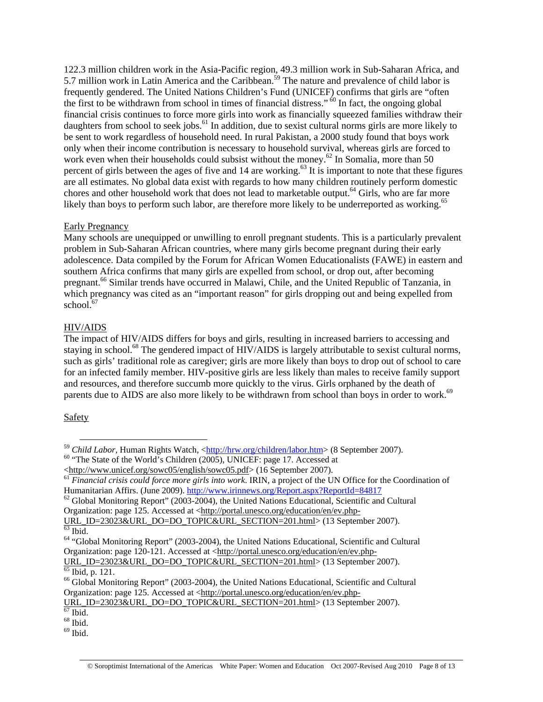122.3 million children work in the Asia-Pacific region, 49.3 million work in Sub-Saharan Africa, and 5.7 million work in Latin America and the Caribbean.<sup>59</sup> The nature and prevalence of child labor is frequently gendered. The United Nations Children's Fund (UNICEF) confirms that girls are "often the first to be withdrawn from school in times of financial distress."  $60$  In fact, the ongoing global financial crisis continues to force more girls into work as financially squeezed families withdraw their daughters from school to seek jobs.<sup>61</sup> In addition, due to sexist cultural norms girls are more likely to be sent to work regardless of household need. In rural Pakistan, a 2000 study found that boys work only when their income contribution is necessary to household survival, whereas girls are forced to work even when their households could subsist without the money.<sup>62</sup> In Somalia, more than 50 percent of girls between the ages of five and 14 are working.<sup>63</sup> It is important to note that these figures are all estimates. No global data exist with regards to how many children routinely perform domestic chores and other household work that does not lead to marketable output.<sup>64</sup> Girls, who are far more likely than boys to perform such labor, are therefore more likely to be underreported as working.<sup>65</sup>

### Early Pregnancy

Many schools are unequipped or unwilling to enroll pregnant students. This is a particularly prevalent problem in Sub-Saharan African countries, where many girls become pregnant during their early adolescence. Data compiled by the Forum for African Women Educationalists (FAWE) in eastern and southern Africa confirms that many girls are expelled from school, or drop out, after becoming pregnant.66 Similar trends have occurred in Malawi, Chile, and the United Republic of Tanzania, in which pregnancy was cited as an "important reason" for girls dropping out and being expelled from school.<sup>67</sup>

## HIV/AIDS

The impact of HIV/AIDS differs for boys and girls, resulting in increased barriers to accessing and staying in school.<sup>68</sup> The gendered impact of HIV/AIDS is largely attributable to sexist cultural norms, such as girls' traditional role as caregiver; girls are more likely than boys to drop out of school to care for an infected family member. HIV-positive girls are less likely than males to receive family support and resources, and therefore succumb more quickly to the virus. Girls orphaned by the death of parents due to AIDS are also more likely to be withdrawn from school than boys in order to work.<sup>69</sup>

## Safety

<sup>&</sup>lt;sup>59</sup> *Child Labor*, Human Rights Watch,  $\frac{\text{http://hrw.org/children/labor.htm}}{0}$  (8 September 2007).<br><sup>60</sup> "The State of the World's Children (2005), UNICEF: page 17. Accessed at  $\text{http://www.unicef.org/sowc05/english/sowc05.pdf}$  (16 September 2007).

Financial crisis could force more girls into work. IRIN, a project of the UN Office for the Coordination of<br>Humanitarian Affirs. (June 2009). <u>http://www.irinnews.org/Report.aspx?ReportId=84817</u>

 $^{62}$  Global Monitoring Report" (2003-2004), the United Nations Educational, Scientific and Cultural Organization: page 125. Accessed at <http://portal.unesco.org/education/en/ev.php-

URL\_ID=23023&URL\_DO=DO\_TOPIC&URL\_SECTION=201.html> (13 September 2007).<br><sup>63</sup> Ibid.

<sup>&</sup>lt;sup>64</sup> "Global Monitoring Report" (2003-2004), the United Nations Educational, Scientific and Cultural Organization: page 120-121. Accessed at <http://portal.unesco.org/education/en/ev.php-

URL\_ID=23023&URL\_DO=DO\_TOPIC&URL\_SECTION=201.html> (13 September 2007).  $\frac{65}{65}$  Ibid, p. 121.

<sup>&</sup>lt;sup>66</sup> Global Monitoring Report" (2003-2004), the United Nations Educational, Scientific and Cultural Organization: page 125. Accessed at <http://portal.unesco.org/education/en/ev.php-

URL\_ID=23023&URL\_DO=DO\_TOPIC&URL\_SECTION=201.html> (13 September 2007).<br><sup>67</sup> Ibid.

 $68$  Ibid.

 $69$  Ibid.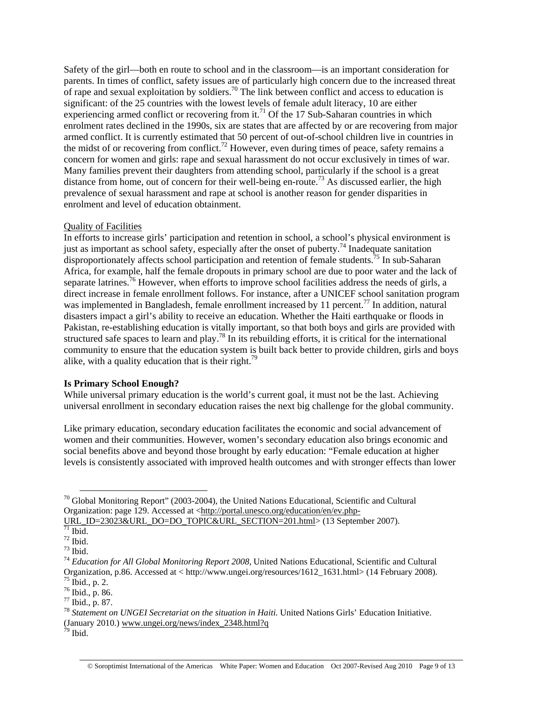Safety of the girl—both en route to school and in the classroom—is an important consideration for parents. In times of conflict, safety issues are of particularly high concern due to the increased threat of rape and sexual exploitation by soldiers.<sup>70</sup> The link between conflict and access to education is significant: of the 25 countries with the lowest levels of female adult literacy, 10 are either experiencing armed conflict or recovering from it.<sup>71</sup> Of the 17 Sub-Saharan countries in which enrolment rates declined in the 1990s, six are states that are affected by or are recovering from major armed conflict. It is currently estimated that 50 percent of out-of-school children live in countries in the midst of or recovering from conflict.<sup>72</sup> However, even during times of peace, safety remains a concern for women and girls: rape and sexual harassment do not occur exclusively in times of war. Many families prevent their daughters from attending school, particularly if the school is a great distance from home, out of concern for their well-being en-route.<sup>73</sup> As discussed earlier, the high prevalence of sexual harassment and rape at school is another reason for gender disparities in enrolment and level of education obtainment.

#### Quality of Facilities

In efforts to increase girls' participation and retention in school, a school's physical environment is just as important as school safety, especially after the onset of puberty.<sup>74</sup> Inadequate sanitation disproportionately affects school participation and retention of female students.<sup>75</sup> In sub-Saharan Africa, for example, half the female dropouts in primary school are due to poor water and the lack of separate latrines.<sup>76</sup> However, when efforts to improve school facilities address the needs of girls, a direct increase in female enrollment follows. For instance, after a UNICEF school sanitation program was implemented in Bangladesh, female enrollment increased by 11 percent.<sup>77</sup> In addition, natural disasters impact a girl's ability to receive an education. Whether the Haiti earthquake or floods in Pakistan, re-establishing education is vitally important, so that both boys and girls are provided with structured safe spaces to learn and play.<sup>78</sup> In its rebuilding efforts, it is critical for the international community to ensure that the education system is built back better to provide children, girls and boys alike, with a quality education that is their right.<sup>79</sup>

#### **Is Primary School Enough?**

While universal primary education is the world's current goal, it must not be the last. Achieving universal enrollment in secondary education raises the next big challenge for the global community.

Like primary education, secondary education facilitates the economic and social advancement of women and their communities. However, women's secondary education also brings economic and social benefits above and beyond those brought by early education: "Female education at higher levels is consistently associated with improved health outcomes and with stronger effects than lower

 $70$  Global Monitoring Report" (2003-2004), the United Nations Educational, Scientific and Cultural Organization: page 129. Accessed at <http://portal.unesco.org/education/en/ev.php-

 $\underline{\text{UKL}}$ \_ID=23023&URL\_DO=DO\_TOPIC&URL\_SECTION=201.html> (13 September 2007).

 $^{72}$  Ibid.

 $^{73}$  Ibid.

<sup>74</sup> *Education for All Global Monitoring Report 2008,* United Nations Educational, Scientific and Cultural Organization, p.86. Accessed at < http://www.ungei.org/resources/1612\_1631.html> (14 February 2008).  $75$  Ibid., p. 2.

<sup>76</sup> Ibid., p. 86.

 $77$  Ibid., p. 87.

<sup>78</sup> *Statement on UNGEI Secretariat on the situation in Haiti.* United Nations Girls' Education Initiative. (January 2010.) www.ungei.org/news/index\_2348.html?q

 $79$  Ibid.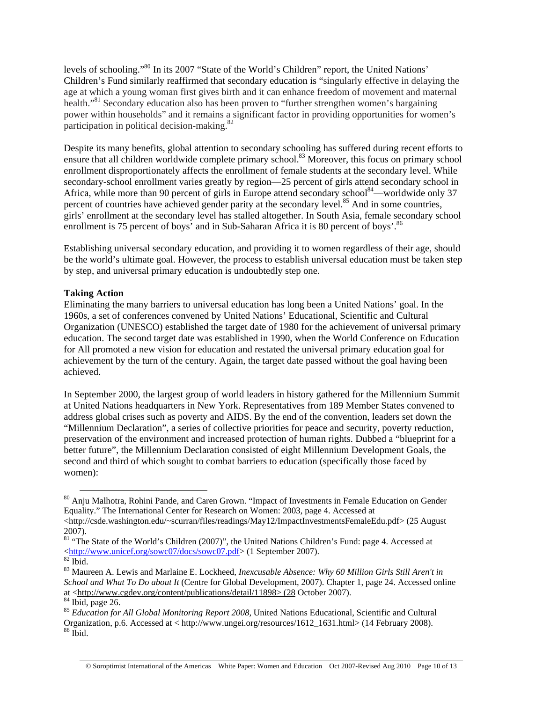levels of schooling."80 In its 2007 "State of the World's Children" report, the United Nations' Children's Fund similarly reaffirmed that secondary education is "singularly effective in delaying the age at which a young woman first gives birth and it can enhance freedom of movement and maternal health."81 Secondary education also has been proven to "further strengthen women's bargaining power within households" and it remains a significant factor in providing opportunities for women's participation in political decision-making. $82$ 

Despite its many benefits, global attention to secondary schooling has suffered during recent efforts to ensure that all children worldwide complete primary school.<sup>83</sup> Moreover, this focus on primary school enrollment disproportionately affects the enrollment of female students at the secondary level. While secondary-school enrollment varies greatly by region—25 percent of girls attend secondary school in Africa, while more than 90 percent of girls in Europe attend secondary school<sup>84</sup>—worldwide only 37 percent of countries have achieved gender parity at the secondary level.<sup>85</sup> And in some countries, girls' enrollment at the secondary level has stalled altogether. In South Asia, female secondary school enrollment is 75 percent of boys' and in Sub-Saharan Africa it is 80 percent of boys'.<sup>86</sup>

Establishing universal secondary education, and providing it to women regardless of their age, should be the world's ultimate goal. However, the process to establish universal education must be taken step by step, and universal primary education is undoubtedly step one.

## **Taking Action**

Eliminating the many barriers to universal education has long been a United Nations' goal. In the 1960s, a set of conferences convened by United Nations' Educational, Scientific and Cultural Organization (UNESCO) established the target date of 1980 for the achievement of universal primary education. The second target date was established in 1990, when the World Conference on Education for All promoted a new vision for education and restated the universal primary education goal for achievement by the turn of the century. Again, the target date passed without the goal having been achieved.

In September 2000, the largest group of world leaders in history gathered for the Millennium Summit at United Nations headquarters in New York. Representatives from 189 Member States convened to address global crises such as poverty and AIDS. By the end of the convention, leaders set down the "Millennium Declaration", a series of collective priorities for peace and security, poverty reduction, preservation of the environment and increased protection of human rights. Dubbed a "blueprint for a better future", the Millennium Declaration consisted of eight Millennium Development Goals, the second and third of which sought to combat barriers to education (specifically those faced by women):

at <http://www.cgdev.org/content/publications/detail/11898> (28 October 2007). 84 Ibid, page 26.

 <sup>80</sup> Anju Malhotra, Rohini Pande, and Caren Grown. "Impact of Investments in Female Education on Gender Equality." The International Center for Research on Women: 2003, page 4. Accessed at <http://csde.washington.edu/~scurran/files/readings/May12/ImpactInvestmentsFemaleEdu.pdf> (25 August

<sup>2007).</sup> 

<sup>&</sup>lt;sup>81</sup> "The State of the World's Children (2007)", the United Nations Children's Fund: page 4. Accessed at  $\frac{\text{thttp://www.unicef.org/sowc07/docs/sowc07.pdf}}{\text{thid}}$  (1 September 2007).

<sup>83</sup> Maureen A. Lewis and Marlaine E. Lockheed, *Inexcusable Absence: Why 60 Million Girls Still Aren't in School and What To Do about It* (Centre for Global Development, 2007). Chapter 1, page 24. Accessed online

<sup>&</sup>lt;sup>85</sup> Education for All Global Monitoring Report 2008, United Nations Educational, Scientific and Cultural Organization, p.6. Accessed at < http://www.ungei.org/resources/1612\_1631.html> (14 February 2008). 86 Ibid.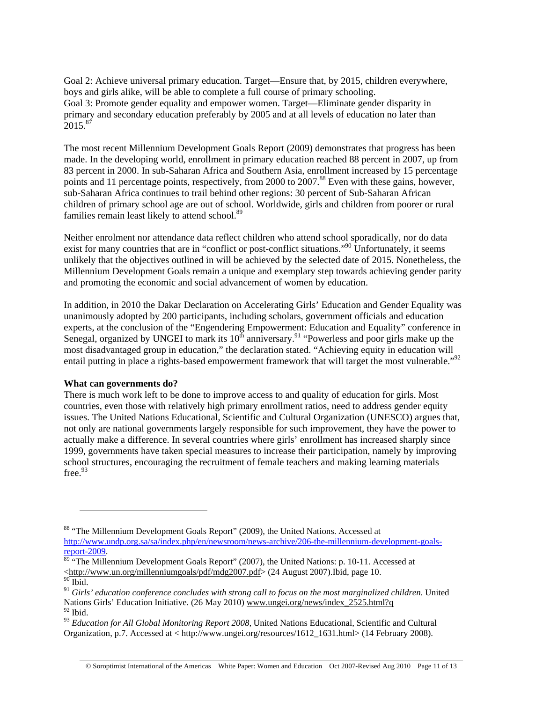Goal 2: Achieve universal primary education. Target—Ensure that, by 2015, children everywhere, boys and girls alike, will be able to complete a full course of primary schooling. Goal 3: Promote gender equality and empower women. Target—Eliminate gender disparity in primary and secondary education preferably by 2005 and at all levels of education no later than  $2015^{87}$ 

The most recent Millennium Development Goals Report (2009) demonstrates that progress has been made. In the developing world, enrollment in primary education reached 88 percent in 2007, up from 83 percent in 2000. In sub-Saharan Africa and Southern Asia, enrollment increased by 15 percentage points and 11 percentage points, respectively, from 2000 to 2007.<sup>88</sup> Even with these gains, however, sub-Saharan Africa continues to trail behind other regions: 30 percent of Sub-Saharan African children of primary school age are out of school. Worldwide, girls and children from poorer or rural families remain least likely to attend school.<sup>89</sup>

Neither enrolment nor attendance data reflect children who attend school sporadically, nor do data exist for many countries that are in "conflict or post-conflict situations."<sup>90</sup> Unfortunately, it seems unlikely that the objectives outlined in will be achieved by the selected date of 2015. Nonetheless, the Millennium Development Goals remain a unique and exemplary step towards achieving gender parity and promoting the economic and social advancement of women by education.

In addition, in 2010 the Dakar Declaration on Accelerating Girls' Education and Gender Equality was unanimously adopted by 200 participants, including scholars, government officials and education experts, at the conclusion of the "Engendering Empowerment: Education and Equality" conference in Senegal, organized by UNGEI to mark its  $10^{th}$  anniversary.<sup>91</sup> "Powerless and poor girls make up the most disadvantaged group in education," the declaration stated. "Achieving equity in education will entail putting in place a rights-based empowerment framework that will target the most vulnerable."<sup>92</sup>

#### **What can governments do?**

 $\overline{a}$ 

There is much work left to be done to improve access to and quality of education for girls. Most countries, even those with relatively high primary enrollment ratios, need to address gender equity issues. The United Nations Educational, Scientific and Cultural Organization (UNESCO) argues that, not only are national governments largely responsible for such improvement, they have the power to actually make a difference. In several countries where girls' enrollment has increased sharply since 1999, governments have taken special measures to increase their participation, namely by improving school structures, encouraging the recruitment of female teachers and making learning materials free.<sup>93</sup>

<sup>88 &</sup>quot;The Millennium Development Goals Report" (2009), the United Nations. Accessed at http://www.undp.org.sa/sa/index.php/en/newsroom/news-archive/206-the-millennium-development-goals-<br>report-2009.

 $\frac{89}{20}$  "The Millennium Development Goals Report" (2007), the United Nations: p. 10-11. Accessed at <http://www.un.org/millenniumgoals/pdf/mdg2007.pdf> (24 August 2007).Ibid, page 10.  $90$  Ibid.

<sup>91</sup> *Girls' education conference concludes with strong call to focus on the most marginalized children*. United Nations Girls' Education Initiative. (26 May 2010) www.ungei.org/news/index\_2525.html?q  $^{92}$  Ibid.

<sup>&</sup>lt;sup>93</sup> Education for All Global Monitoring Report 2008, United Nations Educational, Scientific and Cultural Organization, p.7. Accessed at < http://www.ungei.org/resources/1612\_1631.html> (14 February 2008).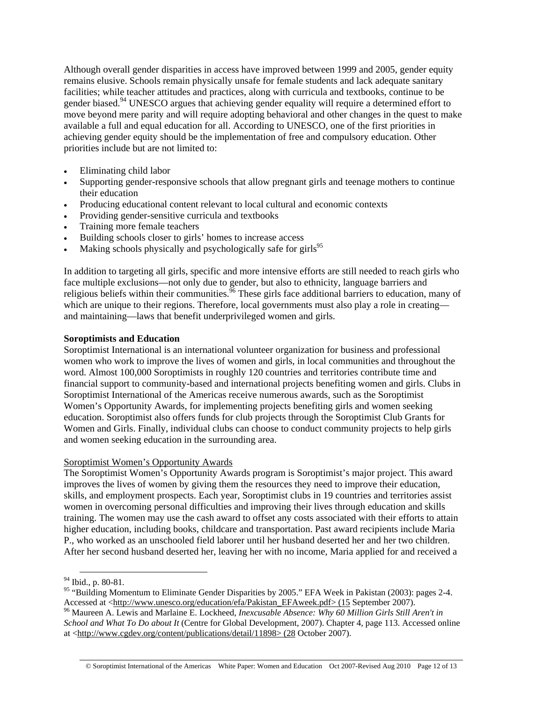Although overall gender disparities in access have improved between 1999 and 2005, gender equity remains elusive. Schools remain physically unsafe for female students and lack adequate sanitary facilities; while teacher attitudes and practices, along with curricula and textbooks, continue to be gender biased.<sup>94</sup> UNESCO argues that achieving gender equality will require a determined effort to move beyond mere parity and will require adopting behavioral and other changes in the quest to make available a full and equal education for all. According to UNESCO, one of the first priorities in achieving gender equity should be the implementation of free and compulsory education. Other priorities include but are not limited to:

- Eliminating child labor
- Supporting gender-responsive schools that allow pregnant girls and teenage mothers to continue their education
- Producing educational content relevant to local cultural and economic contexts
- Providing gender-sensitive curricula and textbooks
- Training more female teachers
- Building schools closer to girls' homes to increase access
- Making schools physically and psychologically safe for girls<sup>95</sup>

In addition to targeting all girls, specific and more intensive efforts are still needed to reach girls who face multiple exclusions—not only due to gender, but also to ethnicity, language barriers and religious beliefs within their communities.<sup>96</sup> These girls face additional barriers to education, many of which are unique to their regions. Therefore, local governments must also play a role in creating and maintaining—laws that benefit underprivileged women and girls.

## **Soroptimists and Education**

Soroptimist International is an international volunteer organization for business and professional women who work to improve the lives of women and girls, in local communities and throughout the word. Almost 100,000 Soroptimists in roughly 120 countries and territories contribute time and financial support to community-based and international projects benefiting women and girls. Clubs in Soroptimist International of the Americas receive numerous awards, such as the Soroptimist Women's Opportunity Awards, for implementing projects benefiting girls and women seeking education. Soroptimist also offers funds for club projects through the Soroptimist Club Grants for Women and Girls. Finally, individual clubs can choose to conduct community projects to help girls and women seeking education in the surrounding area.

## Soroptimist Women's Opportunity Awards

The Soroptimist Women's Opportunity Awards program is Soroptimist's major project. This award improves the lives of women by giving them the resources they need to improve their education, skills, and employment prospects. Each year, Soroptimist clubs in 19 countries and territories assist women in overcoming personal difficulties and improving their lives through education and skills training. The women may use the cash award to offset any costs associated with their efforts to attain higher education, including books, childcare and transportation. Past award recipients include Maria P., who worked as an unschooled field laborer until her husband deserted her and her two children. After her second husband deserted her, leaving her with no income, Maria applied for and received a

 <sup>94</sup> Ibid., p. 80-81.

<sup>&</sup>lt;sup>95</sup> "Building Momentum to Eliminate Gender Disparities by 2005." EFA Week in Pakistan (2003): pages 2-4. Accessed at <http://www.unesco.org/education/efa/Pakistan\_EFAweek.pdf> (15 September 2007). <sup>96</sup> Maureen A. Lewis and Marlaine E. Lockheed, *Inexcusable Absence: Why 60 Million Girls Still Aren't in* 

*School and What To Do about It* (Centre for Global Development, 2007). Chapter 4, page 113. Accessed online at <http://www.cgdev.org/content/publications/detail/11898> (28 October 2007).